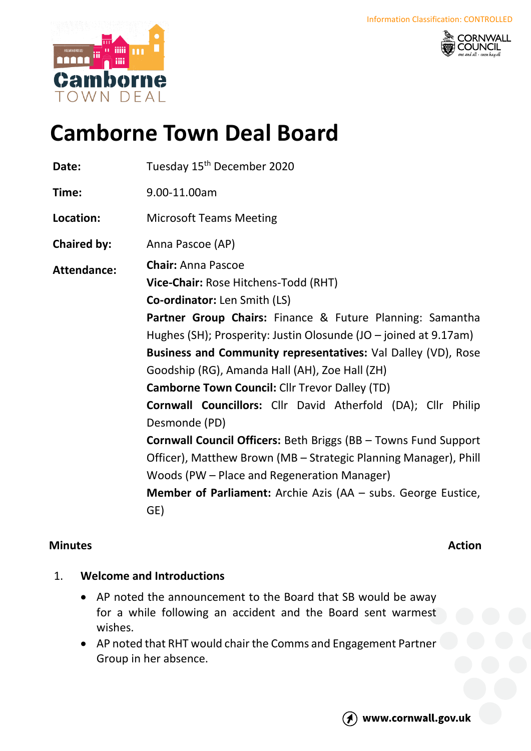



# **Camborne Town Deal Board**

Date: Tuesday 15<sup>th</sup> December 2020 **Time:** 9.00-11.00am **Location:** Microsoft Teams Meeting **Chaired by:** Anna Pascoe (AP) **Attendance: Chair:** Anna Pascoe **Vice-Chair:** Rose Hitchens-Todd (RHT) **Co-ordinator:** Len Smith (LS) **Partner Group Chairs:** Finance & Future Planning: Samantha Hughes (SH); Prosperity: Justin Olosunde (JO – joined at 9.17am) **Business and Community representatives:** Val Dalley (VD), Rose Goodship (RG), Amanda Hall (AH), Zoe Hall (ZH) **Camborne Town Council:** Cllr Trevor Dalley (TD) **Cornwall Councillors:** Cllr David Atherfold (DA); Cllr Philip Desmonde (PD) **Cornwall Council Officers:** Beth Briggs (BB – Towns Fund Support Officer), Matthew Brown (MB – Strategic Planning Manager), Phill Woods (PW – Place and Regeneration Manager) **Member of Parliament:** Archie Azis (AA – subs. George Eustice, GE)

# **Minutes Action**

# 1. **Welcome and Introductions**

- AP noted the announcement to the Board that SB would be away for a while following an accident and the Board sent warmest wishes.
- AP noted that RHT would chair the Comms and Engagement Partner Group in her absence.

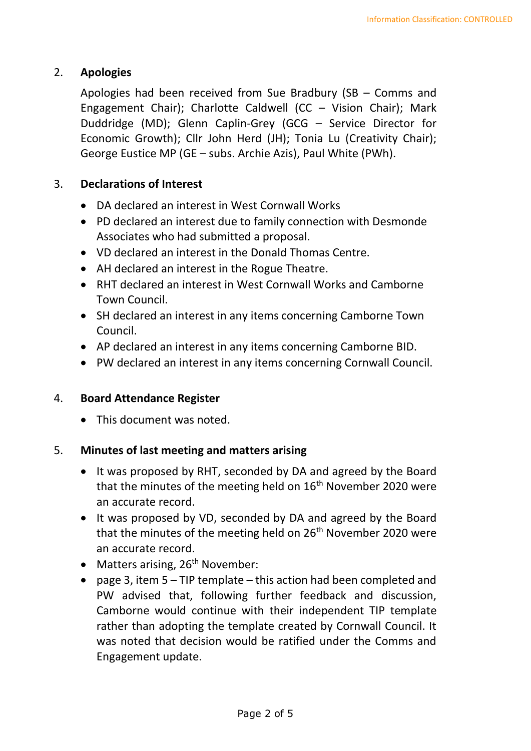### 2. **Apologies**

Apologies had been received from Sue Bradbury (SB – Comms and Engagement Chair); Charlotte Caldwell (CC – Vision Chair); Mark Duddridge (MD); Glenn Caplin-Grey (GCG – Service Director for Economic Growth); Cllr John Herd (JH); Tonia Lu (Creativity Chair); George Eustice MP (GE – subs. Archie Azis), Paul White (PWh).

#### 3. **Declarations of Interest**

- DA declared an interest in West Cornwall Works
- PD declared an interest due to family connection with Desmonde Associates who had submitted a proposal.
- VD declared an interest in the Donald Thomas Centre.
- AH declared an interest in the Rogue Theatre.
- RHT declared an interest in West Cornwall Works and Camborne Town Council.
- SH declared an interest in any items concerning Camborne Town Council.
- AP declared an interest in any items concerning Camborne BID.
- PW declared an interest in any items concerning Cornwall Council.

#### 4. **Board Attendance Register**

• This document was noted.

#### 5. **Minutes of last meeting and matters arising**

- It was proposed by RHT, seconded by DA and agreed by the Board that the minutes of the meeting held on  $16<sup>th</sup>$  November 2020 were an accurate record.
- It was proposed by VD, seconded by DA and agreed by the Board that the minutes of the meeting held on 26<sup>th</sup> November 2020 were an accurate record.
- Matters arising,  $26<sup>th</sup>$  November:
- page 3, item  $5 TIP$  template this action had been completed and PW advised that, following further feedback and discussion, Camborne would continue with their independent TIP template rather than adopting the template created by Cornwall Council. It was noted that decision would be ratified under the Comms and Engagement update.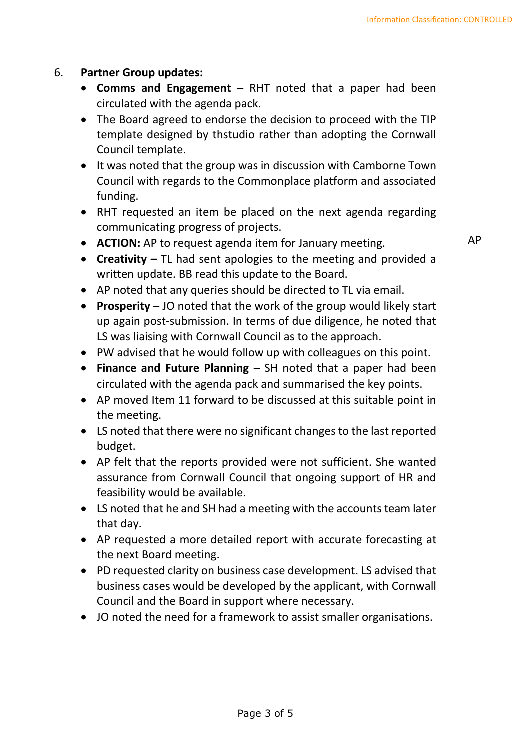### 6. **Partner Group updates:**

- **Comms and Engagement** RHT noted that a paper had been circulated with the agenda pack.
- The Board agreed to endorse the decision to proceed with the TIP template designed by thstudio rather than adopting the Cornwall Council template.
- It was noted that the group was in discussion with Camborne Town Council with regards to the Commonplace platform and associated funding.
- RHT requested an item be placed on the next agenda regarding communicating progress of projects.
- **ACTION:** AP to request agenda item for January meeting.
- **Creativity –** TL had sent apologies to the meeting and provided a written update. BB read this update to the Board.
- AP noted that any queries should be directed to TL via email.
- **Prosperity** JO noted that the work of the group would likely start up again post-submission. In terms of due diligence, he noted that LS was liaising with Cornwall Council as to the approach.
- PW advised that he would follow up with colleagues on this point.
- **Finance and Future Planning** SH noted that a paper had been circulated with the agenda pack and summarised the key points.
- AP moved Item 11 forward to be discussed at this suitable point in the meeting.
- LS noted that there were no significant changes to the last reported budget.
- AP felt that the reports provided were not sufficient. She wanted assurance from Cornwall Council that ongoing support of HR and feasibility would be available.
- LS noted that he and SH had a meeting with the accounts team later that day.
- AP requested a more detailed report with accurate forecasting at the next Board meeting.
- PD requested clarity on business case development. LS advised that business cases would be developed by the applicant, with Cornwall Council and the Board in support where necessary.
- JO noted the need for a framework to assist smaller organisations.

AP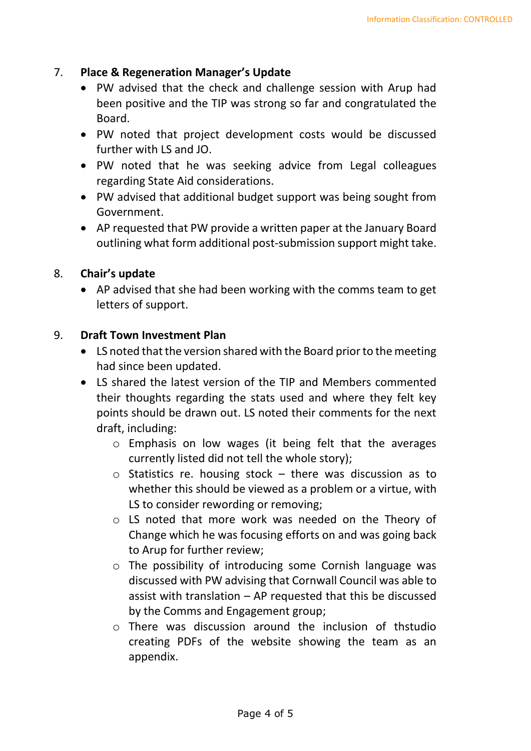#### 7. **Place & Regeneration Manager's Update**

- PW advised that the check and challenge session with Arup had been positive and the TIP was strong so far and congratulated the Board.
- PW noted that project development costs would be discussed further with LS and JO.
- PW noted that he was seeking advice from Legal colleagues regarding State Aid considerations.
- PW advised that additional budget support was being sought from Government.
- AP requested that PW provide a written paper at the January Board outlining what form additional post-submission support might take.

#### 8. **Chair's update**

• AP advised that she had been working with the comms team to get letters of support.

#### 9. **Draft Town Investment Plan**

- LS noted that the version shared with the Board prior to the meeting had since been updated.
- LS shared the latest version of the TIP and Members commented their thoughts regarding the stats used and where they felt key points should be drawn out. LS noted their comments for the next draft, including:
	- o Emphasis on low wages (it being felt that the averages currently listed did not tell the whole story);
	- o Statistics re. housing stock there was discussion as to whether this should be viewed as a problem or a virtue, with LS to consider rewording or removing;
	- o LS noted that more work was needed on the Theory of Change which he was focusing efforts on and was going back to Arup for further review;
	- o The possibility of introducing some Cornish language was discussed with PW advising that Cornwall Council was able to assist with translation – AP requested that this be discussed by the Comms and Engagement group;
	- o There was discussion around the inclusion of thstudio creating PDFs of the website showing the team as an appendix.